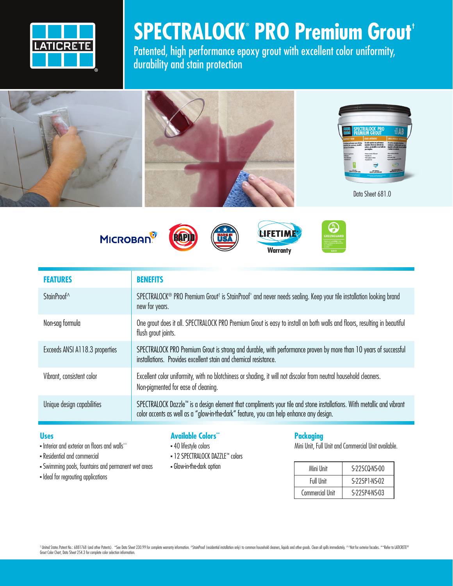

## **SPECTRALOCK® PRO Premium Grout†**

Patented, high performance epoxy grout with excellent color uniformity, durability and stain protection



**MICROBAN** 







| <b>FEATURES</b>                | <b>BENEFITS</b>                                                                                                                                                                                                  |
|--------------------------------|------------------------------------------------------------------------------------------------------------------------------------------------------------------------------------------------------------------|
| StainProof <sup>^</sup>        | SPECTRALOCK <sup>®</sup> PRO Premium Grout <sup>†</sup> is StainProof^ and never needs sealing. Keep your tile installation looking brand<br>new for years.                                                      |
| Non-sag formula                | One grout does it all. SPECTRALOCK PRO Premium Grout is easy to install on both walls and floors, resulting in beautiful<br>flush grout joints.                                                                  |
| Exceeds ANSI A118.3 properties | SPECTRALOCK PRO Premium Grout is strong and durable, with performance proven by more than 10 years of successful<br>installations. Provides excellent stain and chemical resistance.                             |
| Vibrant, consistent color      | Excellent color uniformity, with no blotchiness or shading, it will not discolor from neutral household cleaners.<br>Non-pigmented for ease of cleaning.                                                         |
| Unique design capabilities     | SPECTRALOCK Dazzle™ is a design element that compliments your tile and stone installations. With metallic and vibrant<br>color accents as well as a "glow-in-the-dark" feature, you can help enhance any design. |

## **Uses**

- $\blacksquare$  Interior and exterior on floors and walls^^
- Residential and commercial
- <sup>n</sup> Swimming pools, fountains and permanent wet areas
- Ideal for regrouting applications

## **Available Colors\*\***

- **40 lifestyle colors**
- 12 SPECTRALOCK DAZZLE™ colors
- Glow-in-the-dark option

### **Packaging**

Mini Unit, Full Unit and Commercial Unit available.

| Mini Unit              | S-225CQ-NS-00 |
|------------------------|---------------|
| Full Unit              | S-225P1-NS-02 |
| <b>Commercial Unit</b> | S-225P4-NS-03 |